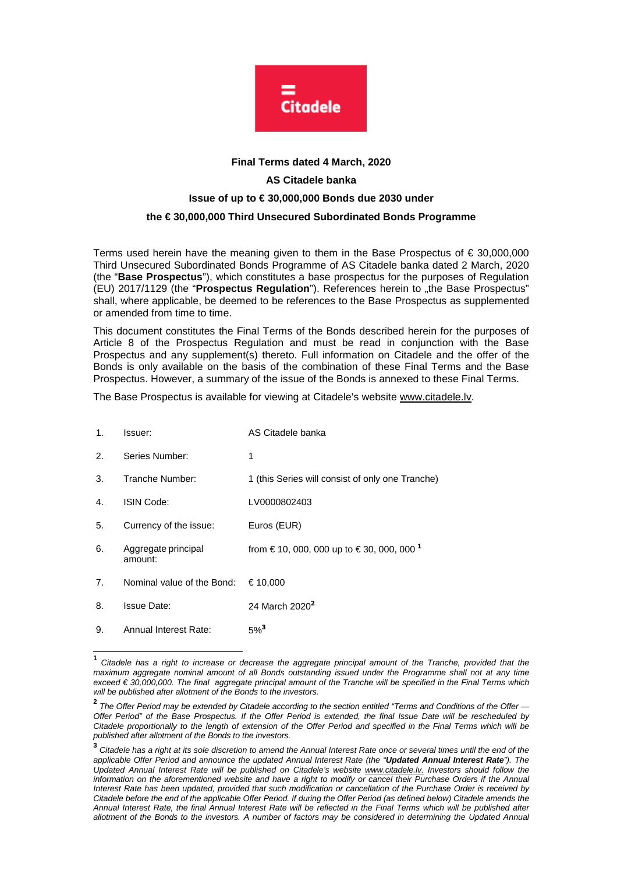

## **Final Terms dated 4 March, 2020 AS Citadele banka Issue of up to € 30,000,000 Bonds due 2030 under the € 30,000,000 Third Unsecured Subordinated Bonds Programme**

Terms used herein have the meaning given to them in the Base Prospectus of € 30,000,000 Third Unsecured Subordinated Bonds Programme of AS Citadele banka dated 2 March, 2020 (the "**Base Prospectus**"), which constitutes a base prospectus for the purposes of Regulation (EU) 2017/1129 (the "**Prospectus Regulation**"). References herein to "the Base Prospectus" shall, where applicable, be deemed to be references to the Base Prospectus as supplemented or amended from time to time.

This document constitutes the Final Terms of the Bonds described herein for the purposes of Article 8 of the Prospectus Regulation and must be read in conjunction with the Base Prospectus and any supplement(s) thereto. Full information on Citadele and the offer of the Bonds is only available on the basis of the combination of these Final Terms and the Base Prospectus. However, a summary of the issue of the Bonds is annexed to these Final Terms.

The Base Prospectus is available for viewing at Citadele's website www.citadele.lv.

| 1. | Issuer:                        | AS Citadele banka                                             |
|----|--------------------------------|---------------------------------------------------------------|
| 2. | Series Number:                 | 1                                                             |
| 3. | Tranche Number:                | 1 (this Series will consist of only one Tranche)              |
| 4. | ISIN Code:                     | LV0000802403                                                  |
| 5. | Currency of the issue:         | Euros (EUR)                                                   |
| 6. | Aggregate principal<br>amount: | from $\in$ 10, 000, 000 up to $\in$ 30, 000, 000 <sup>1</sup> |
| 7. | Nominal value of the Bond:     | € 10.000                                                      |
| 8. | <b>Issue Date:</b>             | 24 March 2020 <sup>2</sup>                                    |
| 9. | Annual Interest Rate:          | $5\%$ <sup>3</sup>                                            |

 **1** Citadele has a right to increase or decrease the aggregate principal amount of the Tranche, provided that the maximum aggregate nominal amount of all Bonds outstanding issued under the Programme shall not at any time exceed € 30,000,000. The final aggregate principal amount of the Tranche will be specified in the Final Terms which will be published after allotment of the Bonds to the investors.

**<sup>2</sup>** The Offer Period may be extended by Citadele according to the section entitled "Terms and Conditions of the Offer — Offer Period" of the Base Prospectus. If the Offer Period is extended, the final Issue Date will be rescheduled by Citadele proportionally to the length of extension of the Offer Period and specified in the Final Terms which will be published after allotment of the Bonds to the investors.

**<sup>3</sup>** Citadele has a right at its sole discretion to amend the Annual Interest Rate once or several times until the end of the applicable Offer Period and announce the updated Annual Interest Rate (the "**Updated Annual Interest Rate**"). The Updated Annual Interest Rate will be published on Citadele's website www.citadele.lv. Investors should follow the information on the aforementioned website and have a right to modify or cancel their Purchase Orders if the Annual Interest Rate has been updated, provided that such modification or cancellation of the Purchase Order is received by Citadele before the end of the applicable Offer Period. If during the Offer Period (as defined below) Citadele amends the Annual Interest Rate, the final Annual Interest Rate will be reflected in the Final Terms which will be published after allotment of the Bonds to the investors. A number of factors may be considered in determining the Updated Annual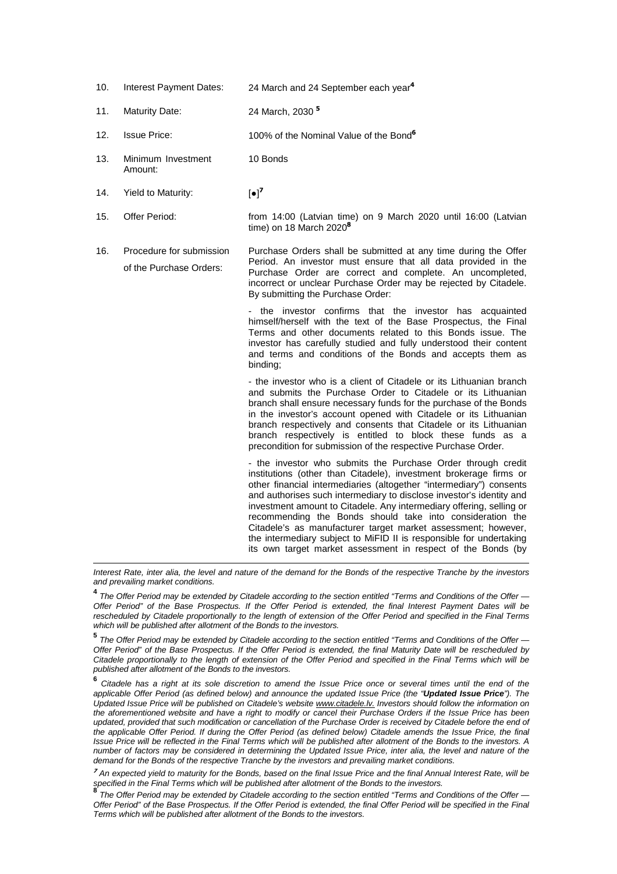| 10. | Interest Payment Dates: | 24 March and 24 September each year <sup>4</sup> |  |
|-----|-------------------------|--------------------------------------------------|--|
|     |                         |                                                  |  |

- 11. Maturity Date: 24 March, 2030 **<sup>5</sup>**
- 12. Issue Price: 100% of the Nominal Value of the Bond**<sup>6</sup>**
- 13. Minimum Investment Amount: 10 Bonds
- 14. Yield to Maturity:  $\lceil \bullet \rceil^7$

l

- 15. Offer Period: from 14:00 (Latvian time) on 9 March 2020 until 16:00 (Latvian time) on 18 March 2020**<sup>8</sup>**
- 16. Procedure for submission of the Purchase Orders: Purchase Orders shall be submitted at any time during the Offer Period. An investor must ensure that all data provided in the Purchase Order are correct and complete. An uncompleted, incorrect or unclear Purchase Order may be rejected by Citadele. By submitting the Purchase Order:

- the investor confirms that the investor has acquainted himself/herself with the text of the Base Prospectus, the Final Terms and other documents related to this Bonds issue. The investor has carefully studied and fully understood their content and terms and conditions of the Bonds and accepts them as binding;

- the investor who is a client of Citadele or its Lithuanian branch and submits the Purchase Order to Citadele or its Lithuanian branch shall ensure necessary funds for the purchase of the Bonds in the investor's account opened with Citadele or its Lithuanian branch respectively and consents that Citadele or its Lithuanian branch respectively is entitled to block these funds as a precondition for submission of the respective Purchase Order.

- the investor who submits the Purchase Order through credit institutions (other than Citadele), investment brokerage firms or other financial intermediaries (altogether "intermediary") consents and authorises such intermediary to disclose investor's identity and investment amount to Citadele. Any intermediary offering, selling or recommending the Bonds should take into consideration the Citadele's as manufacturer target market assessment; however, the intermediary subject to MiFID II is responsible for undertaking its own target market assessment in respect of the Bonds (by

Interest Rate, inter alia, the level and nature of the demand for the Bonds of the respective Tranche by the investors and prevailing market conditions.

**4** The Offer Period may be extended by Citadele according to the section entitled "Terms and Conditions of the Offer — Offer Period" of the Base Prospectus. If the Offer Period is extended, the final Interest Payment Dates will be rescheduled by Citadele proportionally to the length of extension of the Offer Period and specified in the Final Terms which will be published after allotment of the Bonds to the investors.

**5**<br>The Offer Period may be extended by Citadele according to the section entitled "Terms and Conditions of the Offer — Offer Period" of the Base Prospectus. If the Offer Period is extended, the final Maturity Date will be rescheduled by Citadele proportionally to the length of extension of the Offer Period and specified in the Final Terms which will be published after allotment of the Bonds to the investors.

**6** Citadele has a right at its sole discretion to amend the Issue Price once or several times until the end of the applicable Offer Period (as defined below) and announce the updated Issue Price (the "**Updated Issue Price**"). The Updated Issue Price will be published on Citadele's website www.citadele.ly. Investors should follow the information on the aforementioned website and have a right to modify or cancel their Purchase Orders if the Issue Price has been updated, provided that such modification or cancellation of the Purchase Order is received by Citadele before the end of the applicable Offer Period. If during the Offer Period (as defined below) Citadele amends the Issue Price, the final Issue Price will be reflected in the Final Terms which will be published after allotment of the Bonds to the investors. A number of factors may be considered in determining the Updated Issue Price, inter alia, the level and nature of the demand for the Bonds of the respective Tranche by the investors and prevailing market conditions.

<sup>7</sup> An expected yield to maturity for the Bonds, based on the final Issue Price and the final Annual Interest Rate, will be specified in the Final Terms which will be published after allotment of the Bonds to the investors. **8**

The Offer Period may be extended by Citadele according to the section entitled "Terms and Conditions of the Offer -Offer Period" of the Base Prospectus. If the Offer Period is extended, the final Offer Period will be specified in the Final Terms which will be published after allotment of the Bonds to the investors.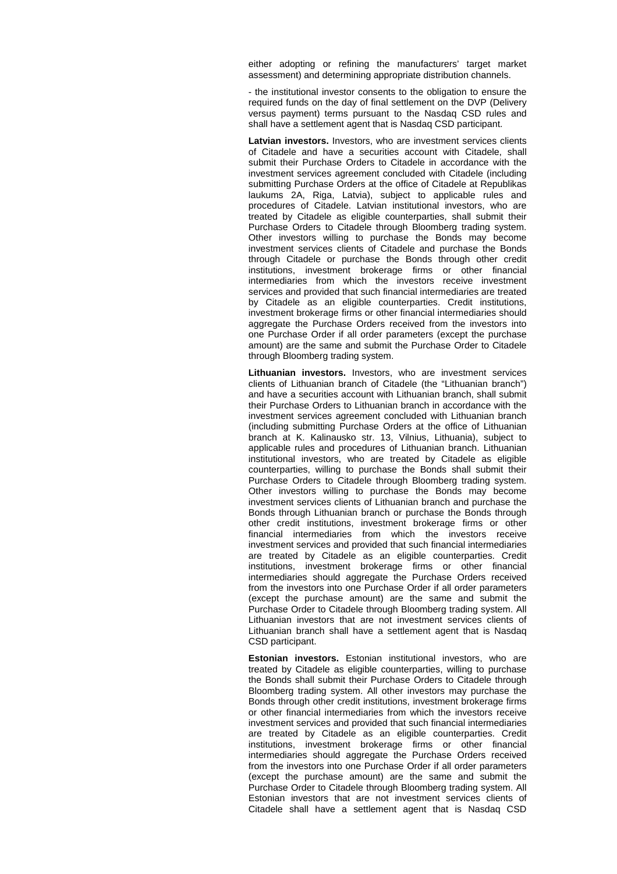either adopting or refining the manufacturers' target market assessment) and determining appropriate distribution channels.

- the institutional investor consents to the obligation to ensure the required funds on the day of final settlement on the DVP (Delivery versus payment) terms pursuant to the Nasdaq CSD rules and shall have a settlement agent that is Nasdaq CSD participant.

**Latvian investors.** Investors, who are investment services clients of Citadele and have a securities account with Citadele, shall submit their Purchase Orders to Citadele in accordance with the investment services agreement concluded with Citadele (including submitting Purchase Orders at the office of Citadele at Republikas laukums 2A, Riga, Latvia), subject to applicable rules and procedures of Citadele. Latvian institutional investors, who are treated by Citadele as eligible counterparties, shall submit their Purchase Orders to Citadele through Bloomberg trading system. Other investors willing to purchase the Bonds may become investment services clients of Citadele and purchase the Bonds through Citadele or purchase the Bonds through other credit institutions, investment brokerage firms or other financial intermediaries from which the investors receive investment services and provided that such financial intermediaries are treated by Citadele as an eligible counterparties. Credit institutions, investment brokerage firms or other financial intermediaries should aggregate the Purchase Orders received from the investors into one Purchase Order if all order parameters (except the purchase amount) are the same and submit the Purchase Order to Citadele through Bloomberg trading system.

**Lithuanian investors.** Investors, who are investment services clients of Lithuanian branch of Citadele (the "Lithuanian branch") and have a securities account with Lithuanian branch, shall submit their Purchase Orders to Lithuanian branch in accordance with the investment services agreement concluded with Lithuanian branch (including submitting Purchase Orders at the office of Lithuanian branch at K. Kalinausko str. 13, Vilnius, Lithuania), subject to applicable rules and procedures of Lithuanian branch. Lithuanian institutional investors, who are treated by Citadele as eligible counterparties, willing to purchase the Bonds shall submit their Purchase Orders to Citadele through Bloomberg trading system. Other investors willing to purchase the Bonds may become investment services clients of Lithuanian branch and purchase the Bonds through Lithuanian branch or purchase the Bonds through other credit institutions, investment brokerage firms or other financial intermediaries from which the investors receive investment services and provided that such financial intermediaries are treated by Citadele as an eligible counterparties. Credit institutions, investment brokerage firms or other financial intermediaries should aggregate the Purchase Orders received from the investors into one Purchase Order if all order parameters (except the purchase amount) are the same and submit the Purchase Order to Citadele through Bloomberg trading system. All Lithuanian investors that are not investment services clients of Lithuanian branch shall have a settlement agent that is Nasdaq CSD participant.

**Estonian investors.** Estonian institutional investors, who are treated by Citadele as eligible counterparties, willing to purchase the Bonds shall submit their Purchase Orders to Citadele through Bloomberg trading system. All other investors may purchase the Bonds through other credit institutions, investment brokerage firms or other financial intermediaries from which the investors receive investment services and provided that such financial intermediaries are treated by Citadele as an eligible counterparties. Credit institutions, investment brokerage firms or other financial intermediaries should aggregate the Purchase Orders received from the investors into one Purchase Order if all order parameters (except the purchase amount) are the same and submit the Purchase Order to Citadele through Bloomberg trading system. All Estonian investors that are not investment services clients of Citadele shall have a settlement agent that is Nasdaq CSD